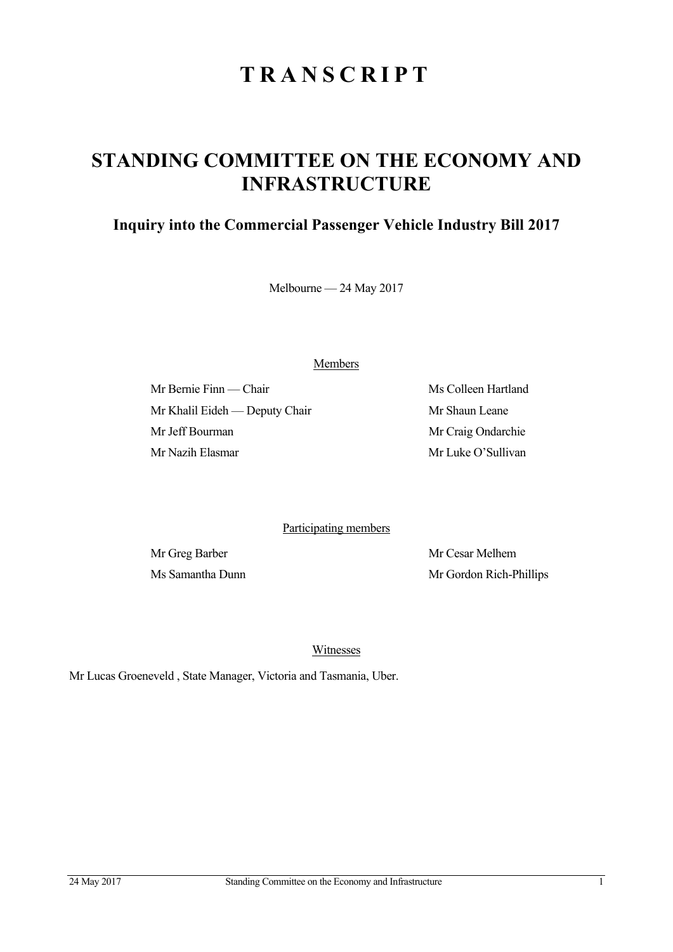# **TRANSCRIPT**

## **STANDING COMMITTEE ON THE ECONOMY AND INFRASTRUCTURE**

### **Inquiry into the Commercial Passenger Vehicle Industry Bill 2017**

Melbourne — 24 May 2017

Members

Mr Bernie Finn — Chair Ms Colleen Hartland Mr Khalil Eideh — Deputy Chair Mr Shaun Leane Mr Jeff Bourman Mr Craig Ondarchie Mr Nazih Elasmar Mr Luke O'Sullivan

Participating members

Mr Greg Barber Mr Cesar Melhem Ms Samantha Dunn Mr Gordon Rich-Phillips

Witnesses

Mr Lucas Groeneveld , State Manager, Victoria and Tasmania, Uber.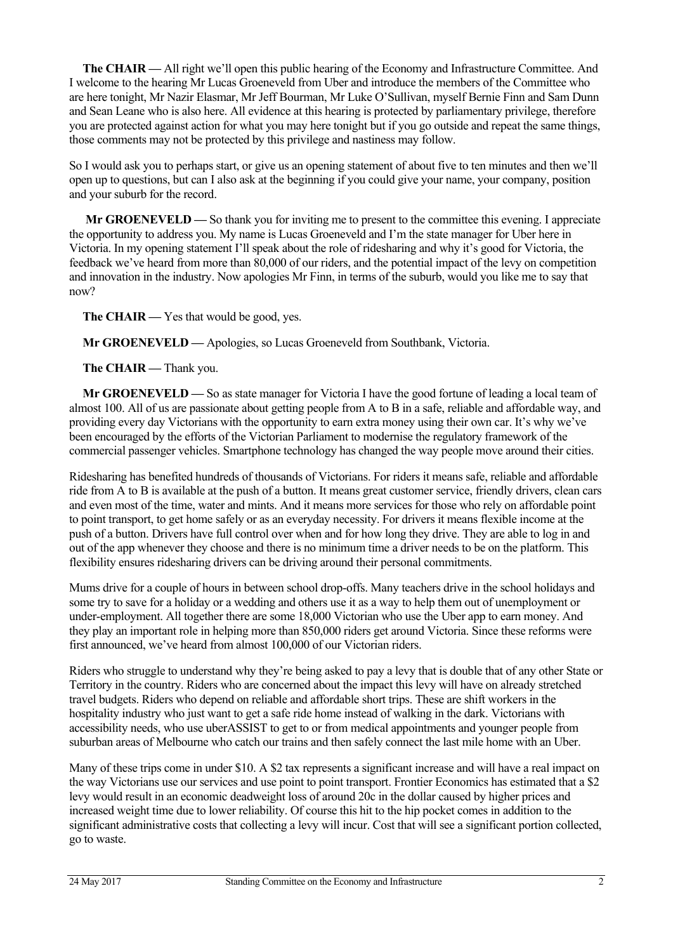**The CHAIR —** All right we'll open this public hearing of the Economy and Infrastructure Committee. And I welcome to the hearing Mr Lucas Groeneveld from Uber and introduce the members of the Committee who are here tonight, Mr Nazir Elasmar, Mr Jeff Bourman, Mr Luke O'Sullivan, myself Bernie Finn and Sam Dunn and Sean Leane who is also here. All evidence at this hearing is protected by parliamentary privilege, therefore you are protected against action for what you may here tonight but if you go outside and repeat the same things, those comments may not be protected by this privilege and nastiness may follow.

So I would ask you to perhaps start, or give us an opening statement of about five to ten minutes and then we'll open up to questions, but can I also ask at the beginning if you could give your name, your company, position and your suburb for the record.

 **Mr GROENEVELD —** So thank you for inviting me to present to the committee this evening. I appreciate the opportunity to address you. My name is Lucas Groeneveld and I'm the state manager for Uber here in Victoria. In my opening statement I'll speak about the role of ridesharing and why it's good for Victoria, the feedback we've heard from more than 80,000 of our riders, and the potential impact of the levy on competition and innovation in the industry. Now apologies Mr Finn, in terms of the suburb, would you like me to say that now?

The CHAIR — Yes that would be good, yes.

**Mr GROENEVELD —** Apologies, so Lucas Groeneveld from Southbank, Victoria.

The CHAIR — Thank you.

**Mr GROENEVELD —** So as state manager for Victoria I have the good fortune of leading a local team of almost 100. All of us are passionate about getting people from A to B in a safe, reliable and affordable way, and providing every day Victorians with the opportunity to earn extra money using their own car. It's why we've been encouraged by the efforts of the Victorian Parliament to modernise the regulatory framework of the commercial passenger vehicles. Smartphone technology has changed the way people move around their cities.

Ridesharing has benefited hundreds of thousands of Victorians. For riders it means safe, reliable and affordable ride from A to B is available at the push of a button. It means great customer service, friendly drivers, clean cars and even most of the time, water and mints. And it means more services for those who rely on affordable point to point transport, to get home safely or as an everyday necessity. For drivers it means flexible income at the push of a button. Drivers have full control over when and for how long they drive. They are able to log in and out of the app whenever they choose and there is no minimum time a driver needs to be on the platform. This flexibility ensures ridesharing drivers can be driving around their personal commitments.

Mums drive for a couple of hours in between school drop-offs. Many teachers drive in the school holidays and some try to save for a holiday or a wedding and others use it as a way to help them out of unemployment or under-employment. All together there are some 18,000 Victorian who use the Uber app to earn money. And they play an important role in helping more than 850,000 riders get around Victoria. Since these reforms were first announced, we've heard from almost 100,000 of our Victorian riders.

Riders who struggle to understand why they're being asked to pay a levy that is double that of any other State or Territory in the country. Riders who are concerned about the impact this levy will have on already stretched travel budgets. Riders who depend on reliable and affordable short trips. These are shift workers in the hospitality industry who just want to get a safe ride home instead of walking in the dark. Victorians with accessibility needs, who use uberASSIST to get to or from medical appointments and younger people from suburban areas of Melbourne who catch our trains and then safely connect the last mile home with an Uber.

Many of these trips come in under \$10. A \$2 tax represents a significant increase and will have a real impact on the way Victorians use our services and use point to point transport. Frontier Economics has estimated that a \$2 levy would result in an economic deadweight loss of around 20c in the dollar caused by higher prices and increased weight time due to lower reliability. Of course this hit to the hip pocket comes in addition to the significant administrative costs that collecting a levy will incur. Cost that will see a significant portion collected, go to waste.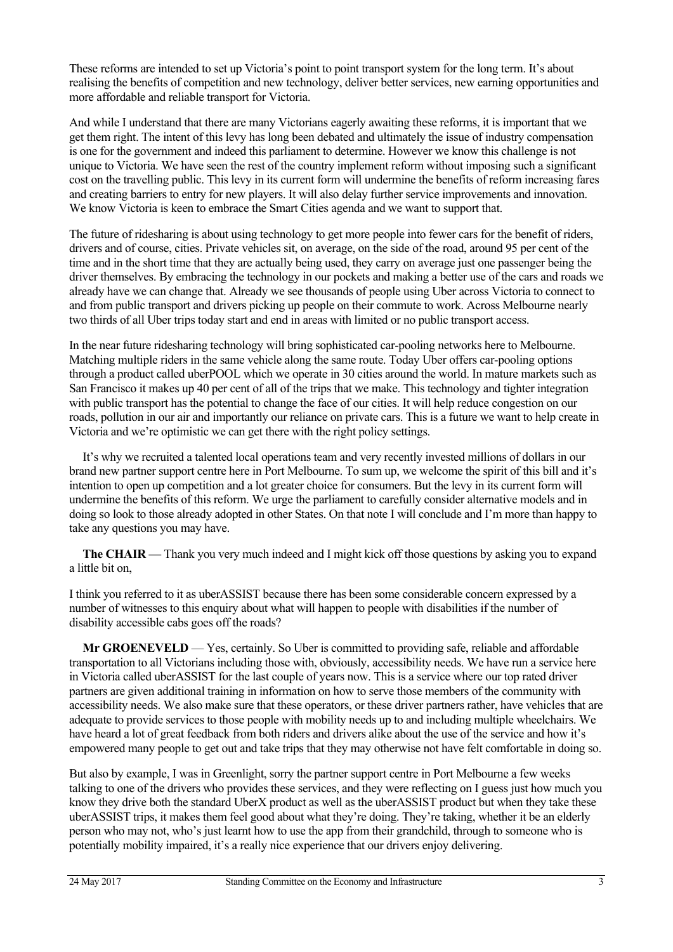These reforms are intended to set up Victoria's point to point transport system for the long term. It's about realising the benefits of competition and new technology, deliver better services, new earning opportunities and more affordable and reliable transport for Victoria.

And while I understand that there are many Victorians eagerly awaiting these reforms, it is important that we get them right. The intent of this levy has long been debated and ultimately the issue of industry compensation is one for the government and indeed this parliament to determine. However we know this challenge is not unique to Victoria. We have seen the rest of the country implement reform without imposing such a significant cost on the travelling public. This levy in its current form will undermine the benefits of reform increasing fares and creating barriers to entry for new players. It will also delay further service improvements and innovation. We know Victoria is keen to embrace the Smart Cities agenda and we want to support that.

The future of ridesharing is about using technology to get more people into fewer cars for the benefit of riders, drivers and of course, cities. Private vehicles sit, on average, on the side of the road, around 95 per cent of the time and in the short time that they are actually being used, they carry on average just one passenger being the driver themselves. By embracing the technology in our pockets and making a better use of the cars and roads we already have we can change that. Already we see thousands of people using Uber across Victoria to connect to and from public transport and drivers picking up people on their commute to work. Across Melbourne nearly two thirds of all Uber trips today start and end in areas with limited or no public transport access.

In the near future ridesharing technology will bring sophisticated car-pooling networks here to Melbourne. Matching multiple riders in the same vehicle along the same route. Today Uber offers car-pooling options through a product called uberPOOL which we operate in 30 cities around the world. In mature markets such as San Francisco it makes up 40 per cent of all of the trips that we make. This technology and tighter integration with public transport has the potential to change the face of our cities. It will help reduce congestion on our roads, pollution in our air and importantly our reliance on private cars. This is a future we want to help create in Victoria and we're optimistic we can get there with the right policy settings.

It's why we recruited a talented local operations team and very recently invested millions of dollars in our brand new partner support centre here in Port Melbourne. To sum up, we welcome the spirit of this bill and it's intention to open up competition and a lot greater choice for consumers. But the levy in its current form will undermine the benefits of this reform. We urge the parliament to carefully consider alternative models and in doing so look to those already adopted in other States. On that note I will conclude and I'm more than happy to take any questions you may have.

**The CHAIR —** Thank you very much indeed and I might kick off those questions by asking you to expand a little bit on,

I think you referred to it as uberASSIST because there has been some considerable concern expressed by a number of witnesses to this enquiry about what will happen to people with disabilities if the number of disability accessible cabs goes off the roads?

**Mr GROENEVELD** — Yes, certainly. So Uber is committed to providing safe, reliable and affordable transportation to all Victorians including those with, obviously, accessibility needs. We have run a service here in Victoria called uberASSIST for the last couple of years now. This is a service where our top rated driver partners are given additional training in information on how to serve those members of the community with accessibility needs. We also make sure that these operators, or these driver partners rather, have vehicles that are adequate to provide services to those people with mobility needs up to and including multiple wheelchairs. We have heard a lot of great feedback from both riders and drivers alike about the use of the service and how it's empowered many people to get out and take trips that they may otherwise not have felt comfortable in doing so.

But also by example, I was in Greenlight, sorry the partner support centre in Port Melbourne a few weeks talking to one of the drivers who provides these services, and they were reflecting on I guess just how much you know they drive both the standard UberX product as well as the uberASSIST product but when they take these uberASSIST trips, it makes them feel good about what they're doing. They're taking, whether it be an elderly person who may not, who's just learnt how to use the app from their grandchild, through to someone who is potentially mobility impaired, it's a really nice experience that our drivers enjoy delivering.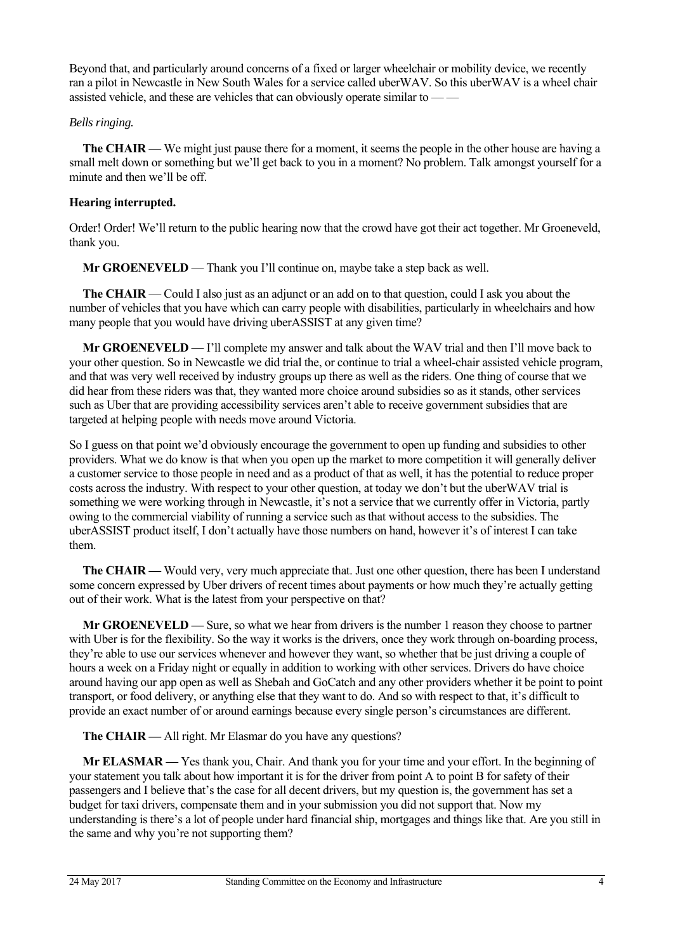Beyond that, and particularly around concerns of a fixed or larger wheelchair or mobility device, we recently ran a pilot in Newcastle in New South Wales for a service called uberWAV. So this uberWAV is a wheel chair assisted vehicle, and these are vehicles that can obviously operate similar to — —

#### *Bells ringing.*

**The CHAIR** — We might just pause there for a moment, it seems the people in the other house are having a small melt down or something but we'll get back to you in a moment? No problem. Talk amongst yourself for a minute and then we'll be off.

#### **Hearing interrupted.**

Order! Order! We'll return to the public hearing now that the crowd have got their act together. Mr Groeneveld, thank you.

**Mr GROENEVELD** — Thank you I'll continue on, maybe take a step back as well.

**The CHAIR** — Could I also just as an adjunct or an add on to that question, could I ask you about the number of vehicles that you have which can carry people with disabilities, particularly in wheelchairs and how many people that you would have driving uberASSIST at any given time?

**Mr GROENEVELD —** I'll complete my answer and talk about the WAV trial and then I'll move back to your other question. So in Newcastle we did trial the, or continue to trial a wheel-chair assisted vehicle program, and that was very well received by industry groups up there as well as the riders. One thing of course that we did hear from these riders was that, they wanted more choice around subsidies so as it stands, other services such as Uber that are providing accessibility services aren't able to receive government subsidies that are targeted at helping people with needs move around Victoria.

So I guess on that point we'd obviously encourage the government to open up funding and subsidies to other providers. What we do know is that when you open up the market to more competition it will generally deliver a customer service to those people in need and as a product of that as well, it has the potential to reduce proper costs across the industry. With respect to your other question, at today we don't but the uberWAV trial is something we were working through in Newcastle, it's not a service that we currently offer in Victoria, partly owing to the commercial viability of running a service such as that without access to the subsidies. The uberASSIST product itself, I don't actually have those numbers on hand, however it's of interest I can take them.

**The CHAIR —** Would very, very much appreciate that. Just one other question, there has been I understand some concern expressed by Uber drivers of recent times about payments or how much they're actually getting out of their work. What is the latest from your perspective on that?

**Mr GROENEVELD —** Sure, so what we hear from drivers is the number 1 reason they choose to partner with Uber is for the flexibility. So the way it works is the drivers, once they work through on-boarding process, they're able to use our services whenever and however they want, so whether that be just driving a couple of hours a week on a Friday night or equally in addition to working with other services. Drivers do have choice around having our app open as well as Shebah and GoCatch and any other providers whether it be point to point transport, or food delivery, or anything else that they want to do. And so with respect to that, it's difficult to provide an exact number of or around earnings because every single person's circumstances are different.

**The CHAIR —** All right. Mr Elasmar do you have any questions?

**Mr ELASMAR —** Yes thank you, Chair. And thank you for your time and your effort. In the beginning of your statement you talk about how important it is for the driver from point A to point B for safety of their passengers and I believe that's the case for all decent drivers, but my question is, the government has set a budget for taxi drivers, compensate them and in your submission you did not support that. Now my understanding is there's a lot of people under hard financial ship, mortgages and things like that. Are you still in the same and why you're not supporting them?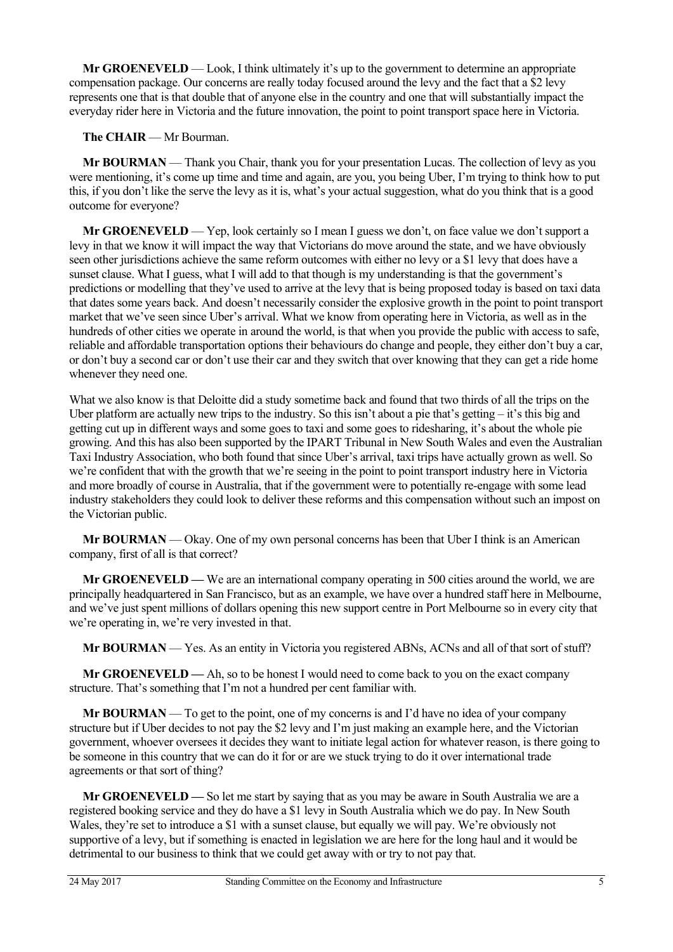**Mr GROENEVELD** — Look, I think ultimately it's up to the government to determine an appropriate compensation package. Our concerns are really today focused around the levy and the fact that a \$2 levy represents one that is that double that of anyone else in the country and one that will substantially impact the everyday rider here in Victoria and the future innovation, the point to point transport space here in Victoria.

#### **The CHAIR** — Mr Bourman.

**Mr BOURMAN** — Thank you Chair, thank you for your presentation Lucas. The collection of levy as you were mentioning, it's come up time and time and again, are you, you being Uber, I'm trying to think how to put this, if you don't like the serve the levy as it is, what's your actual suggestion, what do you think that is a good outcome for everyone?

**Mr GROENEVELD** — Yep, look certainly so I mean I guess we don't, on face value we don't support a levy in that we know it will impact the way that Victorians do move around the state, and we have obviously seen other jurisdictions achieve the same reform outcomes with either no levy or a \$1 levy that does have a sunset clause. What I guess, what I will add to that though is my understanding is that the government's predictions or modelling that they've used to arrive at the levy that is being proposed today is based on taxi data that dates some years back. And doesn't necessarily consider the explosive growth in the point to point transport market that we've seen since Uber's arrival. What we know from operating here in Victoria, as well as in the hundreds of other cities we operate in around the world, is that when you provide the public with access to safe, reliable and affordable transportation options their behaviours do change and people, they either don't buy a car, or don't buy a second car or don't use their car and they switch that over knowing that they can get a ride home whenever they need one.

What we also know is that Deloitte did a study sometime back and found that two thirds of all the trips on the Uber platform are actually new trips to the industry. So this isn't about a pie that's getting – it's this big and getting cut up in different ways and some goes to taxi and some goes to ridesharing, it's about the whole pie growing. And this has also been supported by the IPART Tribunal in New South Wales and even the Australian Taxi Industry Association, who both found that since Uber's arrival, taxi trips have actually grown as well. So we're confident that with the growth that we're seeing in the point to point transport industry here in Victoria and more broadly of course in Australia, that if the government were to potentially re-engage with some lead industry stakeholders they could look to deliver these reforms and this compensation without such an impost on the Victorian public.

**Mr BOURMAN** — Okay. One of my own personal concerns has been that Uber I think is an American company, first of all is that correct?

**Mr GROENEVELD —** We are an international company operating in 500 cities around the world, we are principally headquartered in San Francisco, but as an example, we have over a hundred staff here in Melbourne, and we've just spent millions of dollars opening this new support centre in Port Melbourne so in every city that we're operating in, we're very invested in that.

**Mr BOURMAN** — Yes. As an entity in Victoria you registered ABNs, ACNs and all of that sort of stuff?

**Mr GROENEVELD —** Ah, so to be honest I would need to come back to you on the exact company structure. That's something that I'm not a hundred per cent familiar with.

**Mr BOURMAN** — To get to the point, one of my concerns is and I'd have no idea of your company structure but if Uber decides to not pay the \$2 levy and I'm just making an example here, and the Victorian government, whoever oversees it decides they want to initiate legal action for whatever reason, is there going to be someone in this country that we can do it for or are we stuck trying to do it over international trade agreements or that sort of thing?

**Mr GROENEVELD —** So let me start by saying that as you may be aware in South Australia we are a registered booking service and they do have a \$1 levy in South Australia which we do pay. In New South Wales, they're set to introduce a \$1 with a sunset clause, but equally we will pay. We're obviously not supportive of a levy, but if something is enacted in legislation we are here for the long haul and it would be detrimental to our business to think that we could get away with or try to not pay that.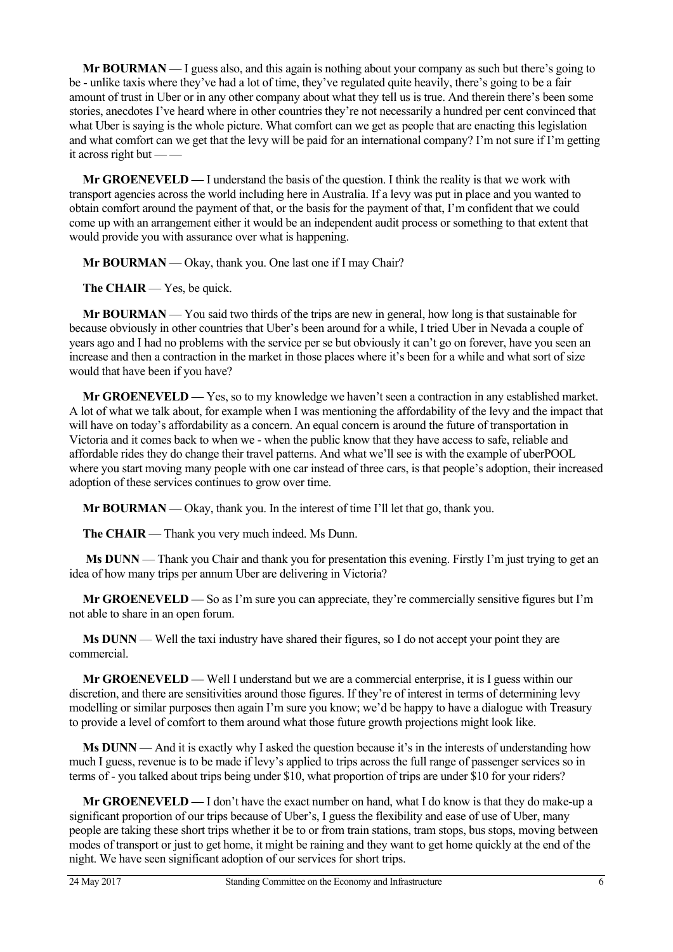**Mr BOURMAN** — I guess also, and this again is nothing about your company as such but there's going to be - unlike taxis where they've had a lot of time, they've regulated quite heavily, there's going to be a fair amount of trust in Uber or in any other company about what they tell us is true. And therein there's been some stories, anecdotes I've heard where in other countries they're not necessarily a hundred per cent convinced that what Uber is saying is the whole picture. What comfort can we get as people that are enacting this legislation and what comfort can we get that the levy will be paid for an international company? I'm not sure if I'm getting it across right but — —

**Mr GROENEVELD —** I understand the basis of the question. I think the reality is that we work with transport agencies across the world including here in Australia. If a levy was put in place and you wanted to obtain comfort around the payment of that, or the basis for the payment of that, I'm confident that we could come up with an arrangement either it would be an independent audit process or something to that extent that would provide you with assurance over what is happening.

Mr BOURMAN — Okay, thank you. One last one if I may Chair?

**The CHAIR** — Yes, be quick.

**Mr BOURMAN** — You said two thirds of the trips are new in general, how long is that sustainable for because obviously in other countries that Uber's been around for a while, I tried Uber in Nevada a couple of years ago and I had no problems with the service per se but obviously it can't go on forever, have you seen an increase and then a contraction in the market in those places where it's been for a while and what sort of size would that have been if you have?

**Mr GROENEVELD —** Yes, so to my knowledge we haven't seen a contraction in any established market. A lot of what we talk about, for example when I was mentioning the affordability of the levy and the impact that will have on today's affordability as a concern. An equal concern is around the future of transportation in Victoria and it comes back to when we - when the public know that they have access to safe, reliable and affordable rides they do change their travel patterns. And what we'll see is with the example of uberPOOL where you start moving many people with one car instead of three cars, is that people's adoption, their increased adoption of these services continues to grow over time.

**Mr BOURMAN** — Okay, thank you. In the interest of time I'll let that go, thank you.

**The CHAIR** — Thank you very much indeed. Ms Dunn.

**Ms DUNN** — Thank you Chair and thank you for presentation this evening. Firstly I'm just trying to get an idea of how many trips per annum Uber are delivering in Victoria?

**Mr GROENEVELD —** So as I'm sure you can appreciate, they're commercially sensitive figures but I'm not able to share in an open forum.

**Ms DUNN** — Well the taxi industry have shared their figures, so I do not accept your point they are commercial.

**Mr GROENEVELD —** Well I understand but we are a commercial enterprise, it is I guess within our discretion, and there are sensitivities around those figures. If they're of interest in terms of determining levy modelling or similar purposes then again I'm sure you know; we'd be happy to have a dialogue with Treasury to provide a level of comfort to them around what those future growth projections might look like.

**Ms DUNN** — And it is exactly why I asked the question because it's in the interests of understanding how much I guess, revenue is to be made if levy's applied to trips across the full range of passenger services so in terms of - you talked about trips being under \$10, what proportion of trips are under \$10 for your riders?

**Mr GROENEVELD —** I don't have the exact number on hand, what I do know is that they do make-up a significant proportion of our trips because of Uber's, I guess the flexibility and ease of use of Uber, many people are taking these short trips whether it be to or from train stations, tram stops, bus stops, moving between modes of transport or just to get home, it might be raining and they want to get home quickly at the end of the night. We have seen significant adoption of our services for short trips.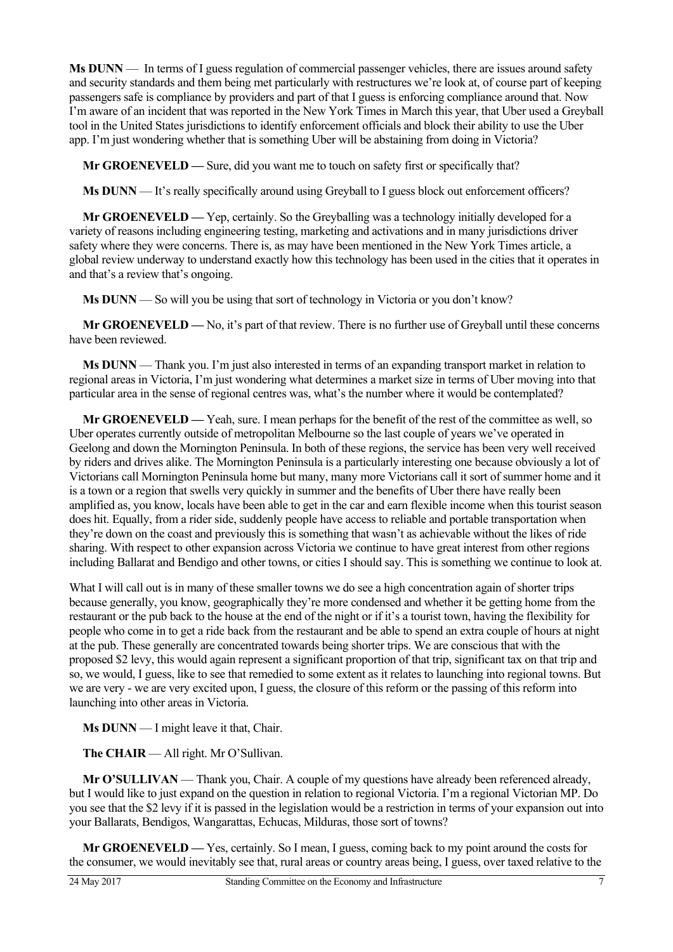**Ms DUNN** — In terms of I guess regulation of commercial passenger vehicles, there are issues around safety and security standards and them being met particularly with restructures we're look at, of course part of keeping passengers safe is compliance by providers and part of that I guess is enforcing compliance around that. Now I'm aware of an incident that was reported in the New York Times in March this year, that Uber used a Greyball tool in the United States jurisdictions to identify enforcement officials and block their ability to use the Uber app. I'm just wondering whether that is something Uber will be abstaining from doing in Victoria?

**Mr GROENEVELD** — Sure, did you want me to touch on safety first or specifically that?

**Ms DUNN** — It's really specifically around using Greyball to I guess block out enforcement officers?

**Mr GROENEVELD —** Yep, certainly. So the Greyballing was a technology initially developed for a variety of reasons including engineering testing, marketing and activations and in many jurisdictions driver safety where they were concerns. There is, as may have been mentioned in the New York Times article, a global review underway to understand exactly how this technology has been used in the cities that it operates in and that's a review that's ongoing.

**Ms DUNN** — So will you be using that sort of technology in Victoria or you don't know?

**Mr GROENEVELD —** No, it's part of that review. There is no further use of Greyball until these concerns have been reviewed.

**Ms DUNN** — Thank you. I'm just also interested in terms of an expanding transport market in relation to regional areas in Victoria, I'm just wondering what determines a market size in terms of Uber moving into that particular area in the sense of regional centres was, what's the number where it would be contemplated?

**Mr GROENEVELD —** Yeah, sure. I mean perhaps for the benefit of the rest of the committee as well, so Uber operates currently outside of metropolitan Melbourne so the last couple of years we've operated in Geelong and down the Mornington Peninsula. In both of these regions, the service has been very well received by riders and drives alike. The Mornington Peninsula is a particularly interesting one because obviously a lot of Victorians call Mornington Peninsula home but many, many more Victorians call it sort of summer home and it is a town or a region that swells very quickly in summer and the benefits of Uber there have really been amplified as, you know, locals have been able to get in the car and earn flexible income when this tourist season does hit. Equally, from a rider side, suddenly people have access to reliable and portable transportation when they're down on the coast and previously this is something that wasn't as achievable without the likes of ride sharing. With respect to other expansion across Victoria we continue to have great interest from other regions including Ballarat and Bendigo and other towns, or cities I should say. This is something we continue to look at.

What I will call out is in many of these smaller towns we do see a high concentration again of shorter trips because generally, you know, geographically they're more condensed and whether it be getting home from the restaurant or the pub back to the house at the end of the night or if it's a tourist town, having the flexibility for people who come in to get a ride back from the restaurant and be able to spend an extra couple of hours at night at the pub. These generally are concentrated towards being shorter trips. We are conscious that with the proposed \$2 levy, this would again represent a significant proportion of that trip, significant tax on that trip and so, we would, I guess, like to see that remedied to some extent as it relates to launching into regional towns. But we are very - we are very excited upon, I guess, the closure of this reform or the passing of this reform into launching into other areas in Victoria.

**Ms DUNN** — I might leave it that, Chair.

**The CHAIR** — All right. Mr O'Sullivan.

Mr O'SULLIVAN — Thank you, Chair. A couple of my questions have already been referenced already, but I would like to just expand on the question in relation to regional Victoria. I'm a regional Victorian MP. Do you see that the \$2 levy if it is passed in the legislation would be a restriction in terms of your expansion out into your Ballarats, Bendigos, Wangarattas, Echucas, Milduras, those sort of towns?

**Mr GROENEVELD —** Yes, certainly. So I mean, I guess, coming back to my point around the costs for the consumer, we would inevitably see that, rural areas or country areas being, I guess, over taxed relative to the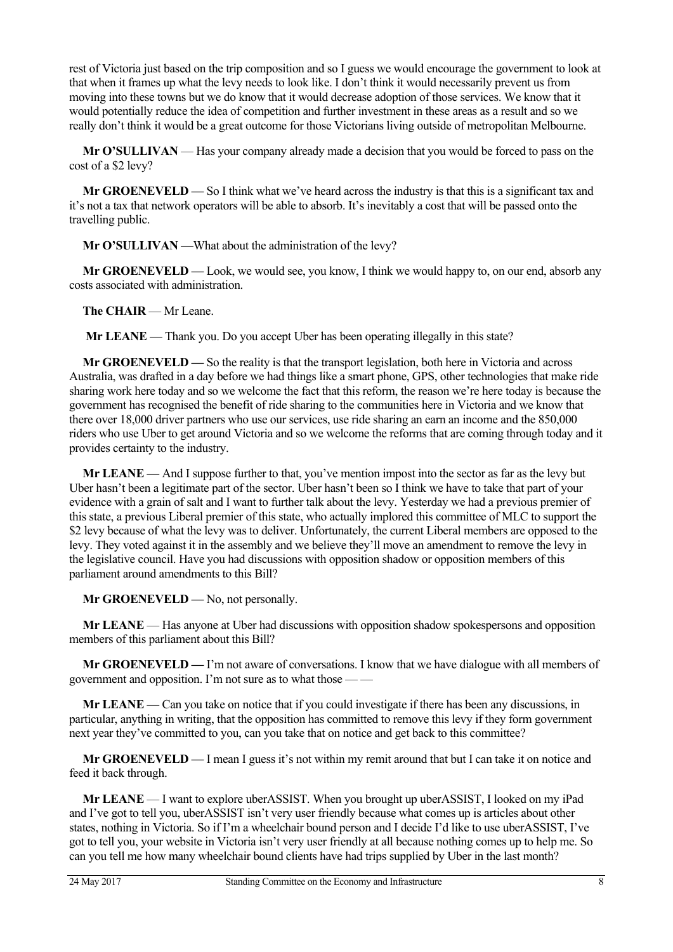rest of Victoria just based on the trip composition and so I guess we would encourage the government to look at that when it frames up what the levy needs to look like. I don't think it would necessarily prevent us from moving into these towns but we do know that it would decrease adoption of those services. We know that it would potentially reduce the idea of competition and further investment in these areas as a result and so we really don't think it would be a great outcome for those Victorians living outside of metropolitan Melbourne.

**Mr O'SULLIVAN** — Has your company already made a decision that you would be forced to pass on the cost of a \$2 levy?

**Mr GROENEVELD —** So I think what we've heard across the industry is that this is a significant tax and it's not a tax that network operators will be able to absorb. It's inevitably a cost that will be passed onto the travelling public.

Mr O'SULLIVAN —What about the administration of the levy?

**Mr GROENEVELD —** Look, we would see, you know, I think we would happy to, on our end, absorb any costs associated with administration.

**The CHAIR** — Mr Leane.

**Mr LEANE** — Thank you. Do you accept Uber has been operating illegally in this state?

**Mr GROENEVELD —** So the reality is that the transport legislation, both here in Victoria and across Australia, was drafted in a day before we had things like a smart phone, GPS, other technologies that make ride sharing work here today and so we welcome the fact that this reform, the reason we're here today is because the government has recognised the benefit of ride sharing to the communities here in Victoria and we know that there over 18,000 driver partners who use our services, use ride sharing an earn an income and the 850,000 riders who use Uber to get around Victoria and so we welcome the reforms that are coming through today and it provides certainty to the industry.

**Mr LEANE** — And I suppose further to that, you've mention impost into the sector as far as the levy but Uber hasn't been a legitimate part of the sector. Uber hasn't been so I think we have to take that part of your evidence with a grain of salt and I want to further talk about the levy. Yesterday we had a previous premier of this state, a previous Liberal premier of this state, who actually implored this committee of MLC to support the \$2 levy because of what the levy was to deliver. Unfortunately, the current Liberal members are opposed to the levy. They voted against it in the assembly and we believe they'll move an amendment to remove the levy in the legislative council. Have you had discussions with opposition shadow or opposition members of this parliament around amendments to this Bill?

**Mr GROENEVELD** — No, not personally.

**Mr LEANE** — Has anyone at Uber had discussions with opposition shadow spokespersons and opposition members of this parliament about this Bill?

**Mr GROENEVELD —** I'm not aware of conversations. I know that we have dialogue with all members of government and opposition. I'm not sure as to what those — —

**Mr LEANE** — Can you take on notice that if you could investigate if there has been any discussions, in particular, anything in writing, that the opposition has committed to remove this levy if they form government next year they've committed to you, can you take that on notice and get back to this committee?

**Mr GROENEVELD** — I mean I guess it's not within my remit around that but I can take it on notice and feed it back through.

**Mr LEANE** — I want to explore uberASSIST. When you brought up uberASSIST, I looked on my iPad and I've got to tell you, uberASSIST isn't very user friendly because what comes up is articles about other states, nothing in Victoria. So if I'm a wheelchair bound person and I decide I'd like to use uberASSIST, I've got to tell you, your website in Victoria isn't very user friendly at all because nothing comes up to help me. So can you tell me how many wheelchair bound clients have had trips supplied by Uber in the last month?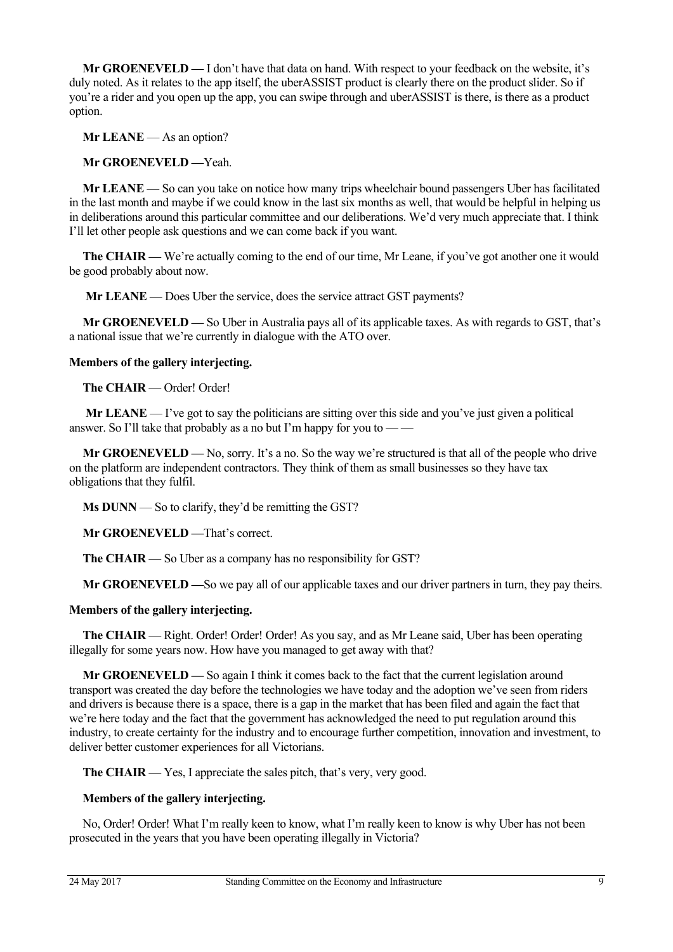**Mr GROENEVELD —** I don't have that data on hand. With respect to your feedback on the website, it's duly noted. As it relates to the app itself, the uberASSIST product is clearly there on the product slider. So if you're a rider and you open up the app, you can swipe through and uberASSIST is there, is there as a product option.

**Mr LEANE** — As an option?

**Mr GROENEVELD —**Yeah.

**Mr LEANE** — So can you take on notice how many trips wheelchair bound passengers Uber has facilitated in the last month and maybe if we could know in the last six months as well, that would be helpful in helping us in deliberations around this particular committee and our deliberations. We'd very much appreciate that. I think I'll let other people ask questions and we can come back if you want.

**The CHAIR** — We're actually coming to the end of our time, Mr Leane, if you've got another one it would be good probably about now.

**Mr LEANE** — Does Uber the service, does the service attract GST payments?

**Mr GROENEVELD —** So Uber in Australia pays all of its applicable taxes. As with regards to GST, that's a national issue that we're currently in dialogue with the ATO over.

**Members of the gallery interjecting.** 

**The CHAIR** — Order! Order!

 **Mr LEANE** — I've got to say the politicians are sitting over this side and you've just given a political answer. So I'll take that probably as a no but I'm happy for you to  $-\frac{1}{2}$ 

**Mr GROENEVELD —** No, sorry. It's a no. So the way we're structured is that all of the people who drive on the platform are independent contractors. They think of them as small businesses so they have tax obligations that they fulfil.

**Ms DUNN** — So to clarify, they'd be remitting the GST?

**Mr GROENEVELD —**That's correct.

**The CHAIR** — So Uber as a company has no responsibility for GST?

**Mr GROENEVELD —**So we pay all of our applicable taxes and our driver partners in turn, they pay theirs.

#### **Members of the gallery interjecting.**

**The CHAIR** — Right. Order! Order! Order! As you say, and as Mr Leane said, Uber has been operating illegally for some years now. How have you managed to get away with that?

**Mr GROENEVELD —** So again I think it comes back to the fact that the current legislation around transport was created the day before the technologies we have today and the adoption we've seen from riders and drivers is because there is a space, there is a gap in the market that has been filed and again the fact that we're here today and the fact that the government has acknowledged the need to put regulation around this industry, to create certainty for the industry and to encourage further competition, innovation and investment, to deliver better customer experiences for all Victorians.

The CHAIR — Yes, I appreciate the sales pitch, that's very, very good.

#### **Members of the gallery interjecting.**

No, Order! Order! What I'm really keen to know, what I'm really keen to know is why Uber has not been prosecuted in the years that you have been operating illegally in Victoria?